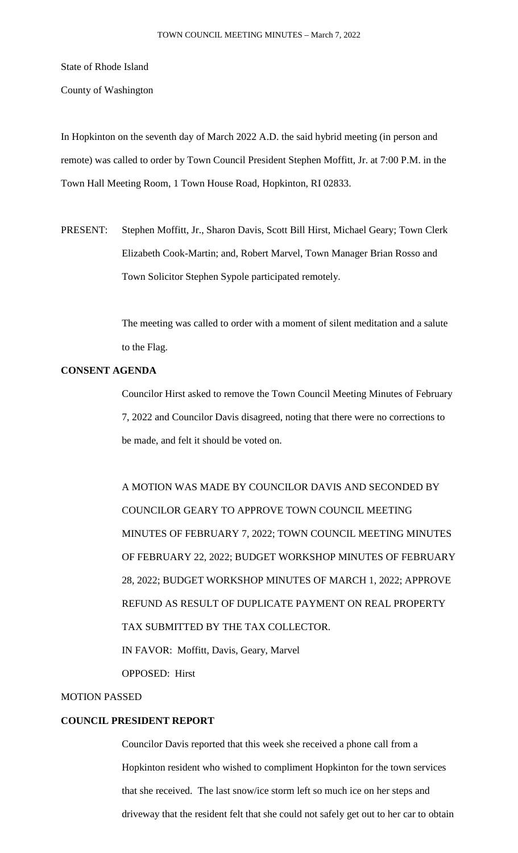State of Rhode Island

County of Washington

In Hopkinton on the seventh day of March 2022 A.D. the said hybrid meeting (in person and remote) was called to order by Town Council President Stephen Moffitt, Jr. at 7:00 P.M. in the Town Hall Meeting Room, 1 Town House Road, Hopkinton, RI 02833.

PRESENT: Stephen Moffitt, Jr., Sharon Davis, Scott Bill Hirst, Michael Geary; Town Clerk Elizabeth Cook-Martin; and, Robert Marvel, Town Manager Brian Rosso and Town Solicitor Stephen Sypole participated remotely.

> The meeting was called to order with a moment of silent meditation and a salute to the Flag.

# **CONSENT AGENDA**

Councilor Hirst asked to remove the Town Council Meeting Minutes of February 7, 2022 and Councilor Davis disagreed, noting that there were no corrections to be made, and felt it should be voted on.

A MOTION WAS MADE BY COUNCILOR DAVIS AND SECONDED BY COUNCILOR GEARY TO APPROVE TOWN COUNCIL MEETING MINUTES OF FEBRUARY 7, 2022; TOWN COUNCIL MEETING MINUTES OF FEBRUARY 22, 2022; BUDGET WORKSHOP MINUTES OF FEBRUARY 28, 2022; BUDGET WORKSHOP MINUTES OF MARCH 1, 2022; APPROVE REFUND AS RESULT OF DUPLICATE PAYMENT ON REAL PROPERTY TAX SUBMITTED BY THE TAX COLLECTOR. IN FAVOR: Moffitt, Davis, Geary, Marvel OPPOSED: Hirst

### MOTION PASSED

# **COUNCIL PRESIDENT REPORT**

Councilor Davis reported that this week she received a phone call from a Hopkinton resident who wished to compliment Hopkinton for the town services that she received. The last snow/ice storm left so much ice on her steps and driveway that the resident felt that she could not safely get out to her car to obtain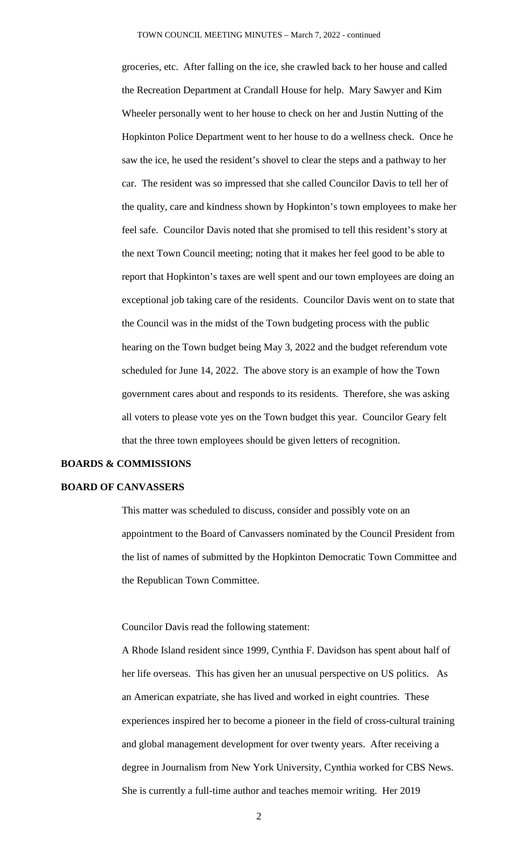groceries, etc. After falling on the ice, she crawled back to her house and called the Recreation Department at Crandall House for help. Mary Sawyer and Kim Wheeler personally went to her house to check on her and Justin Nutting of the Hopkinton Police Department went to her house to do a wellness check. Once he saw the ice, he used the resident's shovel to clear the steps and a pathway to her car. The resident was so impressed that she called Councilor Davis to tell her of the quality, care and kindness shown by Hopkinton's town employees to make her feel safe. Councilor Davis noted that she promised to tell this resident's story at the next Town Council meeting; noting that it makes her feel good to be able to report that Hopkinton's taxes are well spent and our town employees are doing an exceptional job taking care of the residents. Councilor Davis went on to state that the Council was in the midst of the Town budgeting process with the public hearing on the Town budget being May 3, 2022 and the budget referendum vote scheduled for June 14, 2022. The above story is an example of how the Town government cares about and responds to its residents. Therefore, she was asking all voters to please vote yes on the Town budget this year. Councilor Geary felt that the three town employees should be given letters of recognition.

#### **BOARDS & COMMISSIONS**

#### **BOARD OF CANVASSERS**

This matter was scheduled to discuss, consider and possibly vote on an appointment to the Board of Canvassers nominated by the Council President from the list of names of submitted by the Hopkinton Democratic Town Committee and the Republican Town Committee.

Councilor Davis read the following statement:

A Rhode Island resident since 1999, Cynthia F. Davidson has spent about half of her life overseas. This has given her an unusual perspective on US politics. As an American expatriate, she has lived and worked in eight countries. These experiences inspired her to become a pioneer in the field of cross-cultural training and global management development for over twenty years. After receiving a degree in Journalism from New York University, Cynthia worked for CBS News. She is currently a full-time author and teaches memoir writing. Her 2019

2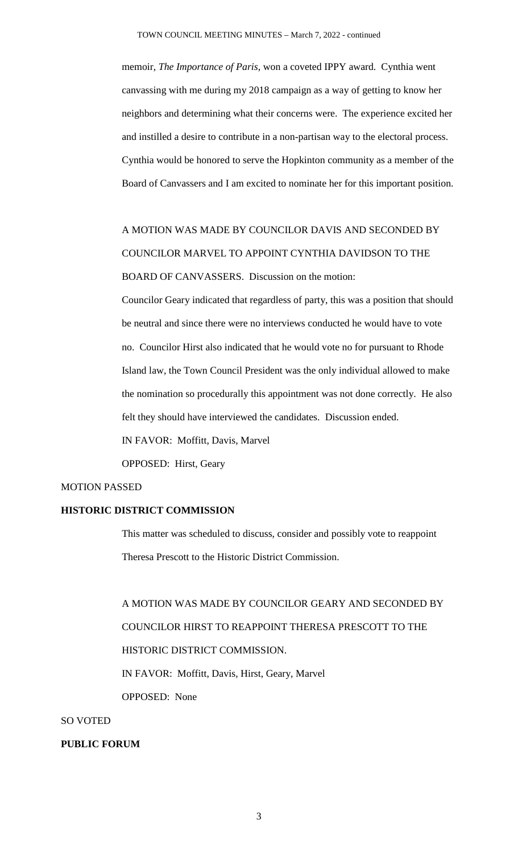memoir, *The Importance of Paris*, won a coveted IPPY award. Cynthia went canvassing with me during my 2018 campaign as a way of getting to know her neighbors and determining what their concerns were. The experience excited her and instilled a desire to contribute in a non-partisan way to the electoral process. Cynthia would be honored to serve the Hopkinton community as a member of the Board of Canvassers and I am excited to nominate her for this important position.

A MOTION WAS MADE BY COUNCILOR DAVIS AND SECONDED BY COUNCILOR MARVEL TO APPOINT CYNTHIA DAVIDSON TO THE BOARD OF CANVASSERS. Discussion on the motion:

Councilor Geary indicated that regardless of party, this was a position that should be neutral and since there were no interviews conducted he would have to vote no. Councilor Hirst also indicated that he would vote no for pursuant to Rhode Island law, the Town Council President was the only individual allowed to make the nomination so procedurally this appointment was not done correctly. He also felt they should have interviewed the candidates. Discussion ended.

IN FAVOR: Moffitt, Davis, Marvel

OPPOSED: Hirst, Geary

### MOTION PASSED

#### **HISTORIC DISTRICT COMMISSION**

This matter was scheduled to discuss, consider and possibly vote to reappoint Theresa Prescott to the Historic District Commission.

A MOTION WAS MADE BY COUNCILOR GEARY AND SECONDED BY COUNCILOR HIRST TO REAPPOINT THERESA PRESCOTT TO THE HISTORIC DISTRICT COMMISSION. IN FAVOR: Moffitt, Davis, Hirst, Geary, Marvel

OPPOSED: None

### SO VOTED

#### **PUBLIC FORUM**